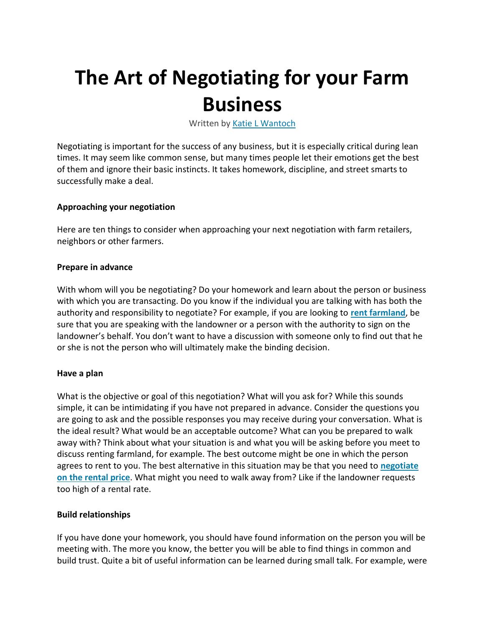# **The Art of Negotiating for your Farm Business**

Written by [Katie L Wantoch](https://farms.extension.wisc.edu/author/kwantoch/)

Negotiating is important for the success of any business, but it is especially critical during lean times. It may seem like common sense, but many times people let their emotions get the best of them and ignore their basic instincts. It takes homework, discipline, and street smarts to successfully make a deal.

## **Approaching your negotiation**

Here are ten things to consider when approaching your next negotiation with farm retailers, neighbors or other farmers.

## **Prepare in advance**

With whom will you be negotiating? Do your homework and learn about the person or business with which you are transacting. Do you know if the individual you are talking with has both the authority and responsibility to negotiate? For example, if you are looking to **[rent farmland](https://farms.extension.wisc.edu/articles/wisconsin-cash-farm-land-lease-example/)**, be sure that you are speaking with the landowner or a person with the authority to sign on the landowner's behalf. You don't want to have a discussion with someone only to find out that he or she is not the person who will ultimately make the binding decision.

## **Have a plan**

What is the objective or goal of this negotiation? What will you ask for? While this sounds simple, it can be intimidating if you have not prepared in advance. Consider the questions you are going to ask and the possible responses you may receive during your conversation. What is the ideal result? What would be an acceptable outcome? What can you be prepared to walk away with? Think about what your situation is and what you will be asking before you meet to discuss renting farmland, for example. The best outcome might be one in which the person agrees to rent to you. The best alternative in this situation may be that you need to **[negotiate](https://farms.extension.wisc.edu/articles/guidance-in-determining-an-equitable-agriculture-land-rental-value/)  [on the rental price](https://farms.extension.wisc.edu/articles/guidance-in-determining-an-equitable-agriculture-land-rental-value/)**. What might you need to walk away from? Like if the landowner requests too high of a rental rate.

## **Build relationships**

If you have done your homework, you should have found information on the person you will be meeting with. The more you know, the better you will be able to find things in common and build trust. Quite a bit of useful information can be learned during small talk. For example, were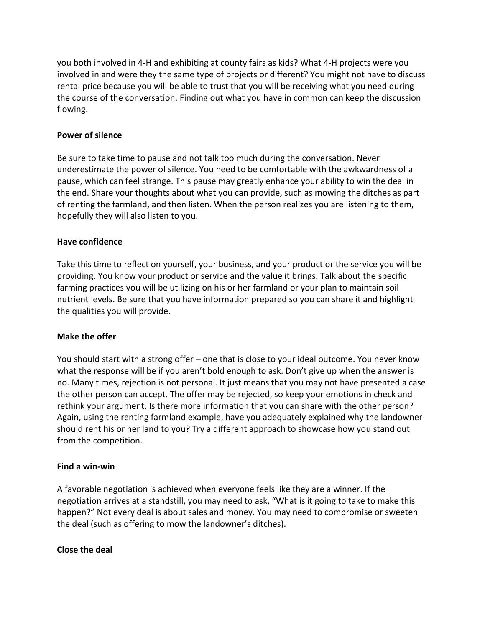you both involved in 4-H and exhibiting at county fairs as kids? What 4-H projects were you involved in and were they the same type of projects or different? You might not have to discuss rental price because you will be able to trust that you will be receiving what you need during the course of the conversation. Finding out what you have in common can keep the discussion flowing.

# **Power of silence**

Be sure to take time to pause and not talk too much during the conversation. Never underestimate the power of silence. You need to be comfortable with the awkwardness of a pause, which can feel strange. This pause may greatly enhance your ability to win the deal in the end. Share your thoughts about what you can provide, such as mowing the ditches as part of renting the farmland, and then listen. When the person realizes you are listening to them, hopefully they will also listen to you.

## **Have confidence**

Take this time to reflect on yourself, your business, and your product or the service you will be providing. You know your product or service and the value it brings. Talk about the specific farming practices you will be utilizing on his or her farmland or your plan to maintain soil nutrient levels. Be sure that you have information prepared so you can share it and highlight the qualities you will provide.

# **Make the offer**

You should start with a strong offer – one that is close to your ideal outcome. You never know what the response will be if you aren't bold enough to ask. Don't give up when the answer is no. Many times, rejection is not personal. It just means that you may not have presented a case the other person can accept. The offer may be rejected, so keep your emotions in check and rethink your argument. Is there more information that you can share with the other person? Again, using the renting farmland example, have you adequately explained why the landowner should rent his or her land to you? Try a different approach to showcase how you stand out from the competition.

## **Find a win-win**

A favorable negotiation is achieved when everyone feels like they are a winner. If the negotiation arrives at a standstill, you may need to ask, "What is it going to take to make this happen?" Not every deal is about sales and money. You may need to compromise or sweeten the deal (such as offering to mow the landowner's ditches).

## **Close the deal**